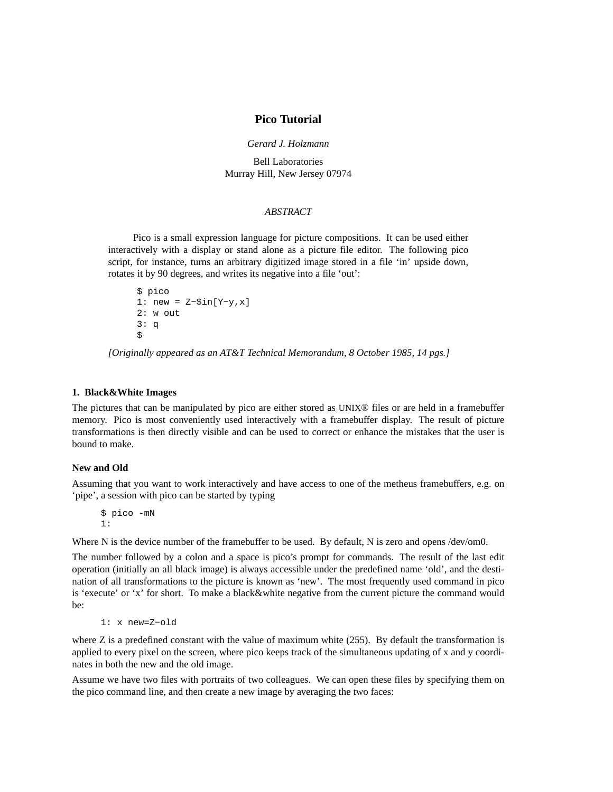# **Pico Tutorial**

*Gerard J. Holzmann*

Bell Laboratories Murray Hill, New Jersey 07974

#### *ABSTRACT*

Pico is a small expression language for picture compositions. It can be used either interactively with a display or stand alone as a picture file editor. The following pico script, for instance, turns an arbitrary digitized image stored in a file 'in' upside down, rotates it by 90 degrees, and writes its negative into a file 'out':

```
$ pico
1: new = Z−$in[Y−y,x]
2: w out
3: q
$
```
*[Originally appeared as an AT&T Technical Memorandum, 8 October 1985, 14 pgs.]*

#### **1. Black&White Images**

The pictures that can be manipulated by pico are either stored as UNIX® files or are held in a framebuffer memory. Pico is most conveniently used interactively with a framebuffer display. The result of picture transformations is then directly visible and can be used to correct or enhance the mistakes that the user is bound to make.

## **New and Old**

Assuming that you want to work interactively and have access to one of the metheus framebuffers, e.g. on 'pipe', a session with pico can be started by typing

\$ pico -mN 1:

Where N is the device number of the framebuffer to be used. By default, N is zero and opens /dev/om0.

The number followed by a colon and a space is pico's prompt for commands. The result of the last edit operation (initially an all black image) is always accessible under the predefined name 'old', and the destination of all transformations to the picture is known as 'new'. The most frequently used command in pico is 'execute' or 'x' for short. To make a black&white negative from the current picture the command would be:

```
1: x new=Z−old
```
where  $Z$  is a predefined constant with the value of maximum white  $(255)$ . By default the transformation is applied to every pixel on the screen, where pico keeps track of the simultaneous updating of x and y coordinates in both the new and the old image.

Assume we have two files with portraits of two colleagues. We can open these files by specifying them on the pico command line, and then create a new image by averaging the two faces: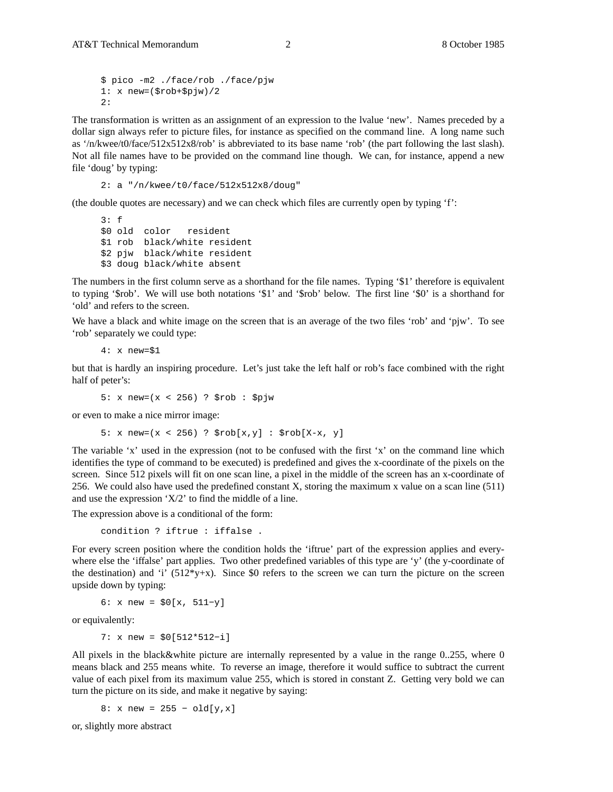\$ pico -m2 ./face/rob ./face/pjw  $1: x$  new= $(\frac{2}{3} \text{rob} + \frac{2}{3} \text{p} \text{jw})/2$ 2:

The transformation is written as an assignment of an expression to the lvalue 'new'. Names preceded by a dollar sign always refer to picture files, for instance as specified on the command line. A long name such as '/n/kwee/t0/face/512x512x8/rob' is abbreviated to its base name 'rob' (the part following the last slash). Not all file names have to be provided on the command line though. We can, for instance, append a new file 'doug' by typing:

2: a "/n/kwee/t0/face/512x512x8/doug"

(the double quotes are necessary) and we can check which files are currently open by typing 'f':

```
3: f
$0 old color resident
$1 rob black/white resident
$2 pjw black/white resident
$3 doug black/white absent
```
The numbers in the first column serve as a shorthand for the file names. Typing '\$1' therefore is equivalent to typing '\$rob'. We will use both notations '\$1' and '\$rob' below. The first line '\$0' is a shorthand for 'old' and refers to the screen.

We have a black and white image on the screen that is an average of the two files 'rob' and 'pjw'. To see 'rob' separately we could type:

4: x new=\$1

but that is hardly an inspiring procedure. Let's just take the left half or rob's face combined with the right half of peter's:

5: x new=(x < 256) ? \$rob : \$pjw

or even to make a nice mirror image:

5: x new=(x < 256) ?  $$rob[x,y] : $rob[X-x, y]$ 

The variable 'x' used in the expression (not to be confused with the first 'x' on the command line which identifies the type of command to be executed) is predefined and gives the x-coordinate of the pixels on the screen. Since 512 pixels will fit on one scan line, a pixel in the middle of the screen has an x-coordinate of 256. We could also have used the predefined constant X, storing the maximum x value on a scan line (511) and use the expression 'X/2' to find the middle of a line.

The expression above is a conditional of the form:

condition ? iftrue : iffalse .

For every screen position where the condition holds the 'iftrue' part of the expression applies and everywhere else the 'iffalse' part applies. Two other predefined variables of this type are 'y' (the y-coordinate of the destination) and 'i'  $(512*y+x)$ . Since \$0 refers to the screen we can turn the picture on the screen upside down by typing:

6: x new = \$0[x, 511−y]

or equivalently:

7: x new = \$0[512\*512−i]

All pixels in the black&white picture are internally represented by a value in the range 0..255, where 0 means black and 255 means white. To reverse an image, therefore it would suffice to subtract the current value of each pixel from its maximum value 255, which is stored in constant Z. Getting very bold we can turn the picture on its side, and make it negative by saying:

8: x new = 255 − old[y,x]

or, slightly more abstract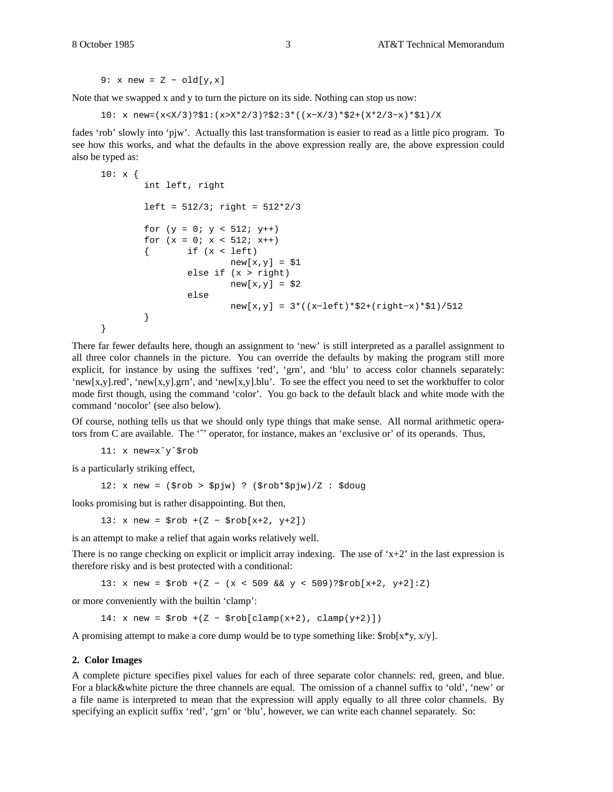9: x new =  $Z - old[y, x]$ 

Note that we swapped x and y to turn the picture on its side. Nothing can stop us now:

10: x new=(x<X/3)?\$1:(x>X\*2/3)?\$2:3\*((x−X/3)\*\$2+(X\*2/3−x)\*\$1)/X

fades 'rob' slowly into 'pjw'. Actually this last transformation is easier to read as a little pico program. To see how this works, and what the defaults in the above expression really are, the above expression could also be typed as:

```
10: x {}int left, right
       left = 512/3; right = 512*2/3for (y = 0; y < 512; y++)for (x = 0; x < 512; x++)\{ if (x < left)new[x,y] = $1else if (x > right)
                       new[x,y] = $2else
                       new[x,y] = 3*((x−left)*$2+(right−x)*$1)/512
       }
}
```
There far fewer defaults here, though an assignment to 'new' is still interpreted as a parallel assignment to all three color channels in the picture. You can override the defaults by making the program still more explicit, for instance by using the suffixes 'red', 'grn', and 'blu' to access color channels separately: 'new[x,y].red', 'new[x,y].grn', and 'new[x,y].blu'. To see the effect you need to set the workbuffer to color mode first though, using the command 'color'. You go back to the default black and white mode with the command 'nocolor' (see also below).

Of course, nothing tells us that we should only type things that make sense. All normal arithmetic operators from C are available. The " operator, for instance, makes an 'exclusive or' of its operands. Thus,

11: x new=xˆyˆ\$rob

is a particularly striking effect,

12: x new = (\$rob > \$pjw) ? (\$rob\*\$pjw)/Z : \$doug

looks promising but is rather disappointing. But then,

13: x new = \$rob +(Z − \$rob[x+2, y+2])

is an attempt to make a relief that again works relatively well.

There is no range checking on explicit or implicit array indexing. The use of ' $x+2$ ' in the last expression is therefore risky and is best protected with a conditional:

13: x new = \$rob +(Z − (x < 509 && y < 509)?\$rob[x+2, y+2]:Z)

or more conveniently with the builtin 'clamp':

 $14: x new = $rob + (Z - $rob[clamp(x+2), clamp(y+2)])$ 

A promising attempt to make a core dump would be to type something like:  $$rob[x*x, x/y]$ .

#### **2. Color Images**

A complete picture specifies pixel values for each of three separate color channels: red, green, and blue. For a black&white picture the three channels are equal. The omission of a channel suffix to 'old', 'new' or a file name is interpreted to mean that the expression will apply equally to all three color channels. By specifying an explicit suffix 'red', 'grn' or 'blu', however, we can write each channel separately. So: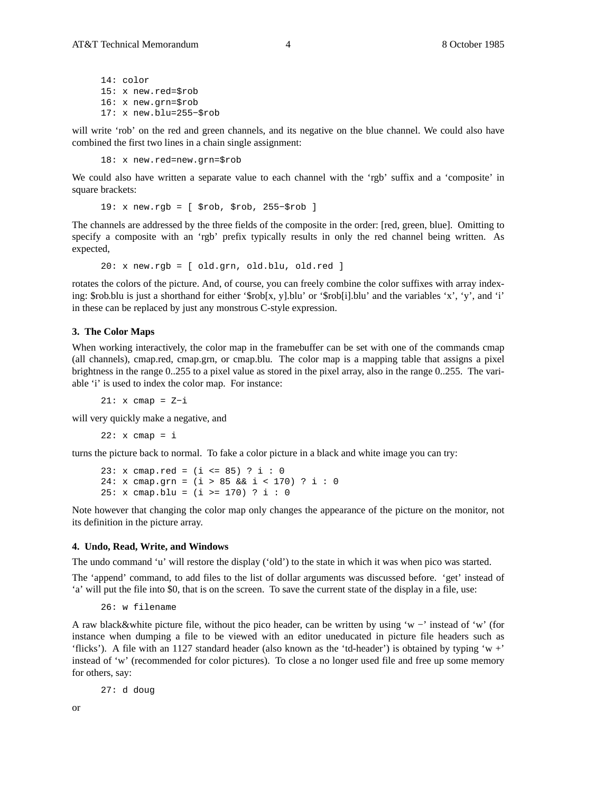14: color 15: x new.red=\$rob 16: x new.grn=\$rob 17: x new.blu=255−\$rob

will write 'rob' on the red and green channels, and its negative on the blue channel. We could also have combined the first two lines in a chain single assignment:

18: x new.red=new.grn=\$rob

We could also have written a separate value to each channel with the 'rgb' suffix and a 'composite' in square brackets:

19: x new.rgb = [ \$rob, \$rob, 255−\$rob ]

The channels are addressed by the three fields of the composite in the order: [red, green, blue]. Omitting to specify a composite with an 'rgb' prefix typically results in only the red channel being written. As expected,

 $20: x new.rqb = [ old.qrn, old.blu, old.read ]$ 

rotates the colors of the picture. And, of course, you can freely combine the color suffixes with array indexing: \$rob.blu is just a shorthand for either '\$rob[x, y].blu' or '\$rob[i].blu' and the variables 'x', 'y', and 'i' in these can be replaced by just any monstrous C-style expression.

#### **3. The Color Maps**

When working interactively, the color map in the framebuffer can be set with one of the commands cmap (all channels), cmap.red, cmap.grn, or cmap.blu. The color map is a mapping table that assigns a pixel brightness in the range 0..255 to a pixel value as stored in the pixel array, also in the range 0..255. The variable 'i' is used to index the color map. For instance:

21: x cmap = Z−i

will very quickly make a negative, and

 $22: x \text{ comp} = i$ 

turns the picture back to normal. To fake a color picture in a black and white image you can try:

```
23: x cmap.red = (i <= 85) ? i : 0
24: x cmap.grn = (i > 85 && i < 170) ? i : 0
25: x cmap.blu = (i >= 170) ? i : 0
```
Note however that changing the color map only changes the appearance of the picture on the monitor, not its definition in the picture array.

#### **4. Undo, Read, Write, and Windows**

The undo command 'u' will restore the display ('old') to the state in which it was when pico was started.

The 'append' command, to add files to the list of dollar arguments was discussed before. 'get' instead of 'a' will put the file into \$0, that is on the screen. To save the current state of the display in a file, use:

26: w filename

A raw black&white picture file, without the pico header, can be written by using 'w −' instead of 'w' (for instance when dumping a file to be viewed with an editor uneducated in picture file headers such as 'flicks'). A file with an 1127 standard header (also known as the 'td-header') is obtained by typing 'w +' instead of 'w' (recommended for color pictures). To close a no longer used file and free up some memory for others, say:

27: d doug

or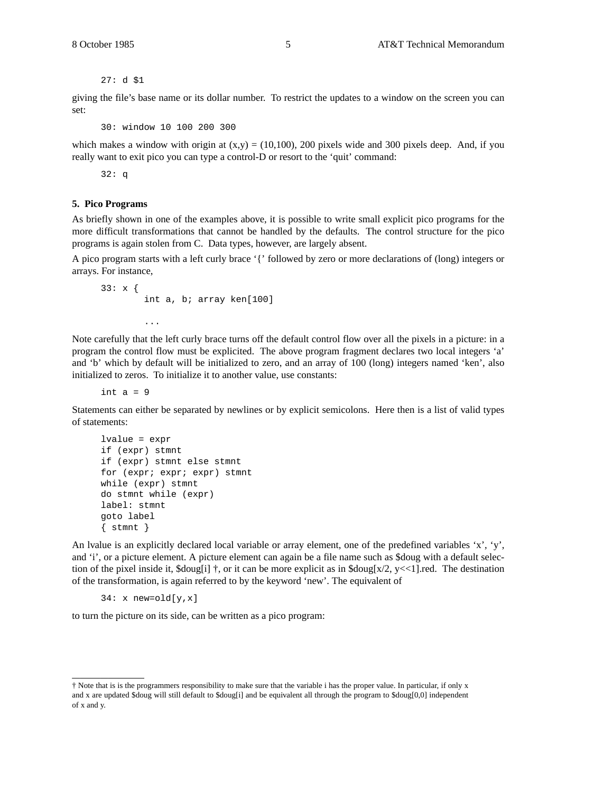27: d \$1

giving the file's base name or its dollar number. To restrict the updates to a window on the screen you can set:

30: window 10 100 200 300

which makes a window with origin at  $(x,y) = (10,100)$ , 200 pixels wide and 300 pixels deep. And, if you really want to exit pico you can type a control-D or resort to the 'quit' command:

32: q

#### **5. Pico Programs**

As briefly shown in one of the examples above, it is possible to write small explicit pico programs for the more difficult transformations that cannot be handled by the defaults. The control structure for the pico programs is again stolen from C. Data types, however, are largely absent.

A pico program starts with a left curly brace '{' followed by zero or more declarations of (long) integers or arrays. For instance,

```
33: x {
        int a, b; array ken[100]
        ...
```
Note carefully that the left curly brace turns off the default control flow over all the pixels in a picture: in a program the control flow must be explicited. The above program fragment declares two local integers 'a' and 'b' which by default will be initialized to zero, and an array of 100 (long) integers named 'ken', also initialized to zeros. To initialize it to another value, use constants:

int  $a = 9$ 

Statements can either be separated by newlines or by explicit semicolons. Here then is a list of valid types of statements:

```
lvalue = expr
if (expr) stmnt
if (expr) stmnt else stmnt
for (expr; expr; expr) stmnt
while (expr) stmnt
do stmnt while (expr)
label: stmnt
goto label
\{ stmnt \}
```
An lvalue is an explicitly declared local variable or array element, one of the predefined variables 'x', 'y', and 'i', or a picture element. A picture element can again be a file name such as \$doug with a default selection of the pixel inside it,  $\delta \frac{\text{doug}[i]}{\text{d}}$ , or it can be more explicit as in  $\delta \frac{\text{doug}[x/2, y\ll1] \text{.}$  The destination of the transformation, is again referred to by the keyword 'new'. The equivalent of

 $34: x$  new=old[y,x]

to turn the picture on its side, can be written as a pico program:

<sup>†</sup> Note that is is the programmers responsibility to make sure that the variable i has the proper value. In particular, if only x and x are updated \$doug will still default to \$doug[i] and be equivalent all through the program to \$doug[0,0] independent of x and y.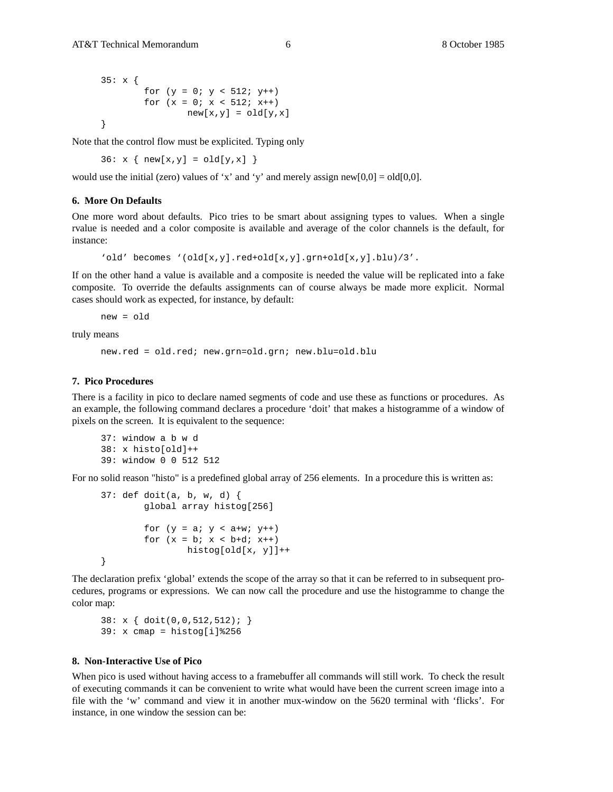```
35: x {
       for (y = 0; y < 512; y++)for (x = 0; x < 512; x++)new[x,y] = old[y,x]}
```
Note that the control flow must be explicited. Typing only

 $36: x { new[x,y] = old[y,x]}$ 

would use the initial (zero) values of 'x' and 'y' and merely assign new[0,0] = old[0,0].

### **6. More On Defaults**

One more word about defaults. Pico tries to be smart about assigning types to values. When a single rvalue is needed and a color composite is available and average of the color channels is the default, for instance:

'old' becomes '(old[x,y].red+old[x,y].grn+old[x,y].blu)/3'.

If on the other hand a value is available and a composite is needed the value will be replicated into a fake composite. To override the defaults assignments can of course always be made more explicit. Normal cases should work as expected, for instance, by default:

new = old

truly means

new.red = old.red; new.grn=old.grn; new.blu=old.blu

## **7. Pico Procedures**

There is a facility in pico to declare named segments of code and use these as functions or procedures. As an example, the following command declares a procedure 'doit' that makes a histogramme of a window of pixels on the screen. It is equivalent to the sequence:

```
37: window a b w d
38: x histo[old]++
39: window 0 0 512 512
```
For no solid reason "histo" is a predefined global array of 256 elements. In a procedure this is written as:

```
37: def doit(a, b, w, d) {
       global array histog[256]
        for (y = a; y < a+w; y++)for (x = b; x < b+d; x++)histog[old[x, y]]++
}
```
The declaration prefix 'global' extends the scope of the array so that it can be referred to in subsequent procedures, programs or expressions. We can now call the procedure and use the histogramme to change the color map:

38: x { doit(0,0,512,512); } 39: x cmap = histog[i]%256

# **8. Non-Interactive Use of Pico**

When pico is used without having access to a framebuffer all commands will still work. To check the result of executing commands it can be convenient to write what would have been the current screen image into a file with the 'w' command and view it in another mux-window on the 5620 terminal with 'flicks'. For instance, in one window the session can be: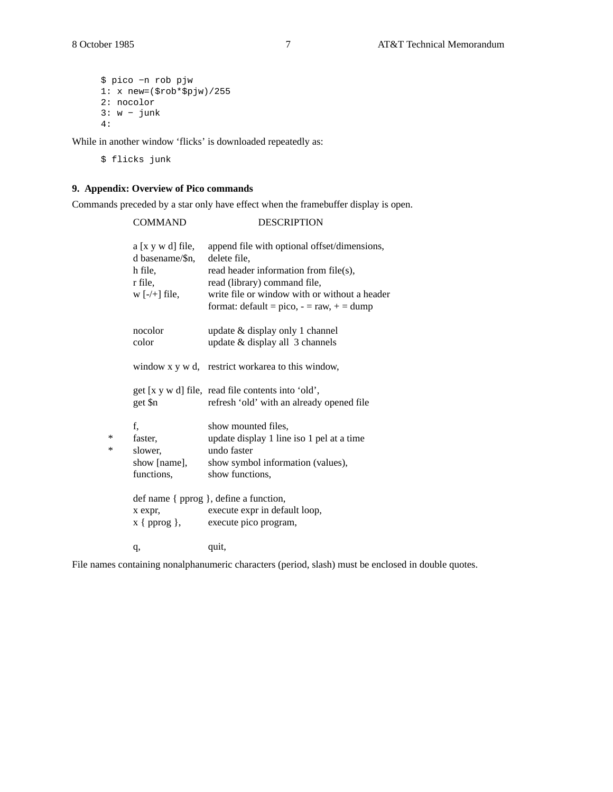```
$ pico −n rob pjw
1: x new=($rob*$pjw)/255
2: nocolor
3: w − junk
4:
```
While in another window 'flicks' is downloaded repeatedly as:

\$ flicks junk

# **9. Appendix: Overview of Pico commands**

Commands preceded by a star only have effect when the framebuffer display is open.

|        | <b>COMMAND</b>                                                                  | <b>DESCRIPTION</b>                                                                                                                                                                                                                    |
|--------|---------------------------------------------------------------------------------|---------------------------------------------------------------------------------------------------------------------------------------------------------------------------------------------------------------------------------------|
|        | $a [x y w d]$ file,<br>d basename/\$n,<br>h file,<br>r file,<br>$w$ [-/+] file, | append file with optional offset/dimensions,<br>delete file,<br>read header information from file(s),<br>read (library) command file,<br>write file or window with or without a header<br>format: $default = pico, - = raw, + = dump$ |
|        | nocolor<br>color                                                                | update & display only 1 channel<br>update & display all 3 channels                                                                                                                                                                    |
|        |                                                                                 | window x y w d, restrict workarea to this window,                                                                                                                                                                                     |
|        | get \$n                                                                         | get [x y w d] file, read file contents into 'old',<br>refresh 'old' with an already opened file                                                                                                                                       |
| ∗<br>∗ | f,<br>faster,<br>slower,<br>show [name],<br>functions,                          | show mounted files,<br>update display 1 line iso 1 pel at a time<br>undo faster<br>show symbol information (values),<br>show functions,                                                                                               |
|        | x expr,<br>$x \{ ^p{prog} \},$                                                  | def name { pprog }, define a function,<br>execute expr in default loop,<br>execute pico program,                                                                                                                                      |
|        | q,                                                                              | quit,                                                                                                                                                                                                                                 |

File names containing nonalphanumeric characters (period, slash) must be enclosed in double quotes.